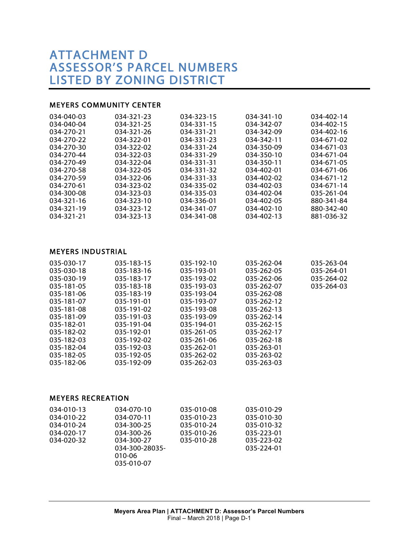# ATTACHMENT D ASSESSOR'S PARCEL NUMBERS LISTED BY ZONING DISTRICT

#### MEYERS COMMUNITY CENTER

| 034-040-03 | 034-321-23 | 034-323-15 | 034-341-10       | 034-402-14       |
|------------|------------|------------|------------------|------------------|
| 034-040-04 | 034-321-25 | 034-331-15 | 034-342-07       | 034-402-15       |
| 034-270-21 | 034-321-26 | 034-331-21 | 034-342-09       | 034-402-16       |
| 034-270-22 | 034-322-01 | 034-331-23 | 034-342-11       | 034-671-02       |
| 034-270-30 | 034-322-02 | 034-331-24 | 034-350-09       | $034 - 671 - 03$ |
| 034-270-44 | 034-322-03 | 034-331-29 | 034-350-10       | 034-671-04       |
| 034-270-49 | 034-322-04 | 034-331-31 | 034-350-11       | 034-671-05       |
| 034-270-58 | 034-322-05 | 034-331-32 | $034 - 402 - 01$ | 034-671-06       |
| 034-270-59 | 034-322-06 | 034-331-33 | 034-402-02       | 034-671-12       |
| 034-270-61 | 034-323-02 | 034-335-02 | 034-402-03       | 034-671-14       |
| 034-300-08 | 034-323-03 | 034-335-03 | 034-402-04       | 035-261-04       |
| 034-321-16 | 034-323-10 | 034-336-01 | 034-402-05       | 880-341-84       |
| 034-321-19 | 034-323-12 | 034-341-07 | $034 - 402 - 10$ | 880-342-40       |
| 034-321-21 | 034-323-13 | 034-341-08 | 034-402-13       | 881-036-32       |

#### MEYERS INDUSTRIAL

| 035-030-17 | 035-183-15 | 035-192-10 | 035-262-04 | 035-263-04 |
|------------|------------|------------|------------|------------|
| 035-030-18 | 035-183-16 | 035-193-01 | 035-262-05 | 035-264-01 |
| 035-030-19 | 035-183-17 | 035-193-02 | 035-262-06 | 035-264-02 |
| 035-181-05 | 035-183-18 | 035-193-03 | 035-262-07 | 035-264-03 |
| 035-181-06 | 035-183-19 | 035-193-04 | 035-262-08 |            |
| 035-181-07 | 035-191-01 | 035-193-07 | 035-262-12 |            |
| 035-181-08 | 035-191-02 | 035-193-08 | 035-262-13 |            |
| 035-181-09 | 035-191-03 | 035-193-09 | 035-262-14 |            |
| 035-182-01 | 035-191-04 | 035-194-01 | 035-262-15 |            |
| 035-182-02 | 035-192-01 | 035-261-05 | 035-262-17 |            |
| 035-182-03 | 035-192-02 | 035-261-06 | 035-262-18 |            |
| 035-182-04 | 035-192-03 | 035-262-01 | 035-263-01 |            |
| 035-182-05 | 035-192-05 | 035-262-02 | 035-263-02 |            |
| 035-182-06 | 035-192-09 | 035-262-03 | 035-263-03 |            |
|            |            |            |            |            |

#### MEYERS RECREATION

| 034-010-13 | 034-070-10     | 035-010-08 | 035-010-29 |
|------------|----------------|------------|------------|
| 034-010-22 | 034-070-11     | 035-010-23 | 035-010-30 |
| 034-010-24 | 034-300-25     | 035-010-24 | 035-010-32 |
| 034-020-17 | 034-300-26     | 035-010-26 | 035-223-01 |
| 034-020-32 | 034-300-27     | 035-010-28 | 035-223-02 |
|            | 034-300-28035- |            | 035-224-01 |
|            | 010-06         |            |            |
|            | 035-010-07     |            |            |
|            |                |            |            |